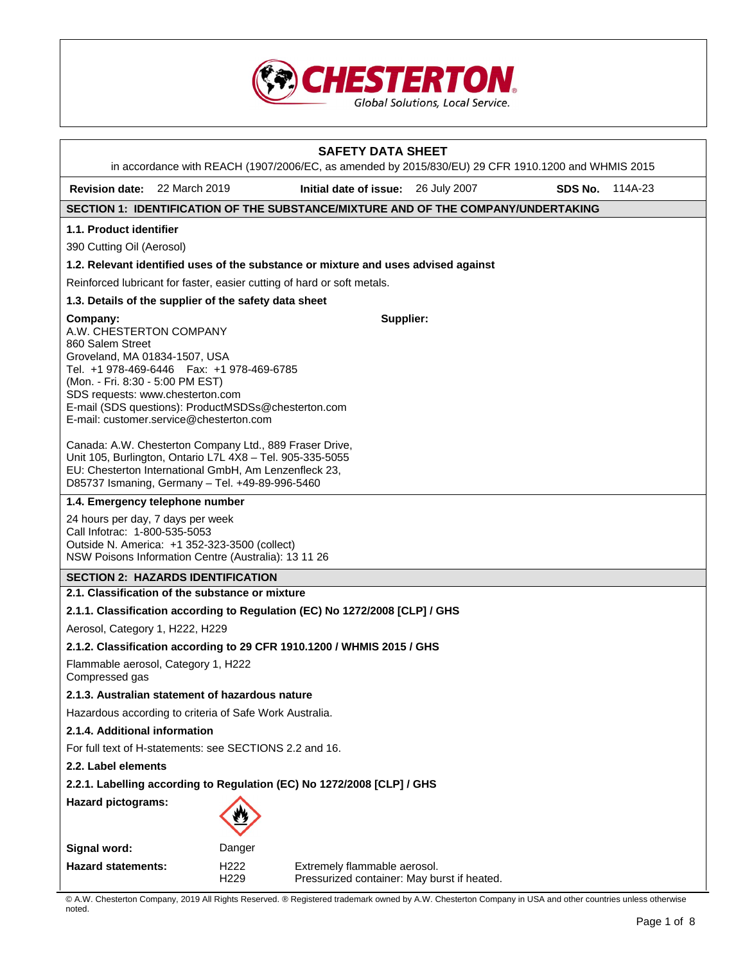

|                                                                                                                                                                                                                                                                                                                    |  |                          | <b>SAFETY DATA SHEET</b><br>in accordance with REACH (1907/2006/EC, as amended by 2015/830/EU) 29 CFR 1910.1200 and WHMIS 2015 |  |         |         |
|--------------------------------------------------------------------------------------------------------------------------------------------------------------------------------------------------------------------------------------------------------------------------------------------------------------------|--|--------------------------|--------------------------------------------------------------------------------------------------------------------------------|--|---------|---------|
| Revision date: 22 March 2019                                                                                                                                                                                                                                                                                       |  |                          | Initial date of issue: 26 July 2007                                                                                            |  | SDS No. | 114A-23 |
|                                                                                                                                                                                                                                                                                                                    |  |                          | SECTION 1: IDENTIFICATION OF THE SUBSTANCE/MIXTURE AND OF THE COMPANY/UNDERTAKING                                              |  |         |         |
| 1.1. Product identifier                                                                                                                                                                                                                                                                                            |  |                          |                                                                                                                                |  |         |         |
| 390 Cutting Oil (Aerosol)                                                                                                                                                                                                                                                                                          |  |                          |                                                                                                                                |  |         |         |
|                                                                                                                                                                                                                                                                                                                    |  |                          | 1.2. Relevant identified uses of the substance or mixture and uses advised against                                             |  |         |         |
|                                                                                                                                                                                                                                                                                                                    |  |                          | Reinforced lubricant for faster, easier cutting of hard or soft metals.                                                        |  |         |         |
| 1.3. Details of the supplier of the safety data sheet                                                                                                                                                                                                                                                              |  |                          |                                                                                                                                |  |         |         |
| Company:<br>A.W. CHESTERTON COMPANY<br>860 Salem Street<br>Groveland, MA 01834-1507, USA<br>Tel. +1 978-469-6446    Fax: +1 978-469-6785<br>(Mon. - Fri. 8:30 - 5:00 PM EST)<br>SDS requests: www.chesterton.com<br>E-mail (SDS questions): ProductMSDSs@chesterton.com<br>E-mail: customer.service@chesterton.com |  |                          | Supplier:                                                                                                                      |  |         |         |
| Canada: A.W. Chesterton Company Ltd., 889 Fraser Drive,<br>Unit 105, Burlington, Ontario L7L 4X8 - Tel. 905-335-5055<br>EU: Chesterton International GmbH, Am Lenzenfleck 23,<br>D85737 Ismaning, Germany - Tel. +49-89-996-5460                                                                                   |  |                          |                                                                                                                                |  |         |         |
| 1.4. Emergency telephone number                                                                                                                                                                                                                                                                                    |  |                          |                                                                                                                                |  |         |         |
| 24 hours per day, 7 days per week<br>Call Infotrac: 1-800-535-5053<br>Outside N. America: +1 352-323-3500 (collect)<br>NSW Poisons Information Centre (Australia): 13 11 26                                                                                                                                        |  |                          |                                                                                                                                |  |         |         |
| <b>SECTION 2: HAZARDS IDENTIFICATION</b>                                                                                                                                                                                                                                                                           |  |                          |                                                                                                                                |  |         |         |
| 2.1. Classification of the substance or mixture                                                                                                                                                                                                                                                                    |  |                          |                                                                                                                                |  |         |         |
|                                                                                                                                                                                                                                                                                                                    |  |                          | 2.1.1. Classification according to Regulation (EC) No 1272/2008 [CLP] / GHS                                                    |  |         |         |
| Aerosol, Category 1, H222, H229                                                                                                                                                                                                                                                                                    |  |                          |                                                                                                                                |  |         |         |
|                                                                                                                                                                                                                                                                                                                    |  |                          | 2.1.2. Classification according to 29 CFR 1910.1200 / WHMIS 2015 / GHS                                                         |  |         |         |
| Flammable aerosol, Category 1, H222<br>Compressed gas                                                                                                                                                                                                                                                              |  |                          |                                                                                                                                |  |         |         |
| 2.1.3. Australian statement of hazardous nature                                                                                                                                                                                                                                                                    |  |                          |                                                                                                                                |  |         |         |
| Hazardous according to criteria of Safe Work Australia.                                                                                                                                                                                                                                                            |  |                          |                                                                                                                                |  |         |         |
| 2.1.4. Additional information                                                                                                                                                                                                                                                                                      |  |                          |                                                                                                                                |  |         |         |
| For full text of H-statements: see SECTIONS 2.2 and 16.                                                                                                                                                                                                                                                            |  |                          |                                                                                                                                |  |         |         |
| 2.2. Label elements                                                                                                                                                                                                                                                                                                |  |                          |                                                                                                                                |  |         |         |
| 2.2.1. Labelling according to Regulation (EC) No 1272/2008 [CLP] / GHS                                                                                                                                                                                                                                             |  |                          |                                                                                                                                |  |         |         |
| <b>Hazard pictograms:</b>                                                                                                                                                                                                                                                                                          |  |                          |                                                                                                                                |  |         |         |
| Signal word:                                                                                                                                                                                                                                                                                                       |  | Danger                   |                                                                                                                                |  |         |         |
| <b>Hazard statements:</b>                                                                                                                                                                                                                                                                                          |  | H222<br>H <sub>229</sub> | Extremely flammable aerosol.<br>Pressurized container: May burst if heated.                                                    |  |         |         |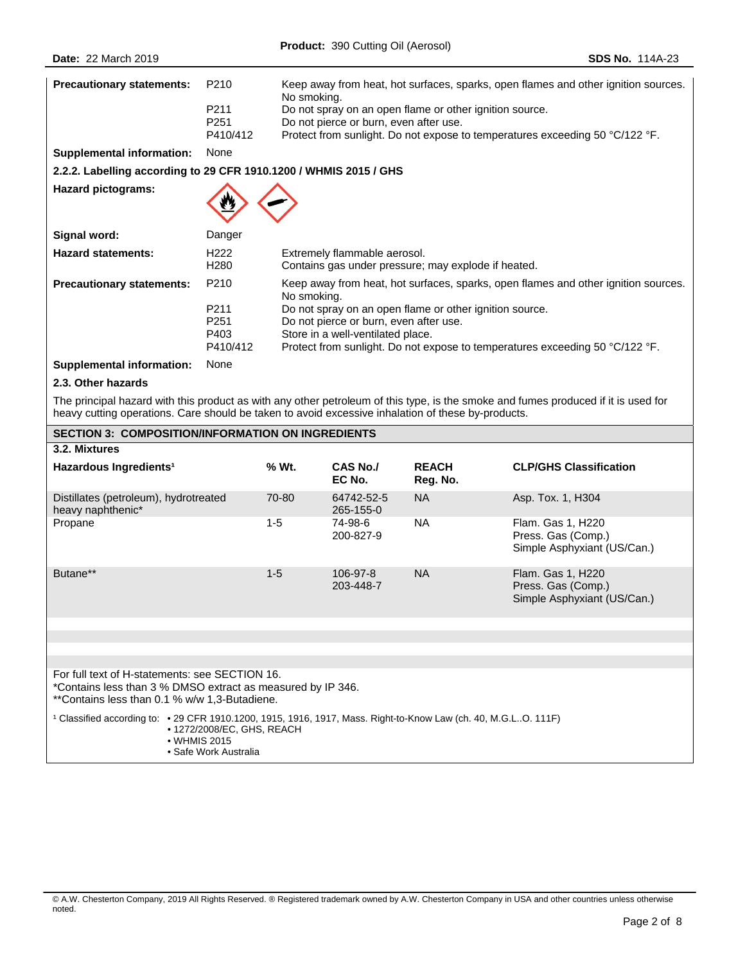| <b>Precautionary statements:</b>                                  | P <sub>210</sub><br>P <sub>211</sub><br>P <sub>251</sub><br>P410/412         | Keep away from heat, hot surfaces, sparks, open flames and other ignition sources.<br>No smoking.<br>Do not spray on an open flame or other ignition source.<br>Do not pierce or burn, even after use.<br>Protect from sunlight. Do not expose to temperatures exceeding 50 °C/122 °F.                                      |
|-------------------------------------------------------------------|------------------------------------------------------------------------------|-----------------------------------------------------------------------------------------------------------------------------------------------------------------------------------------------------------------------------------------------------------------------------------------------------------------------------|
| <b>Supplemental information:</b>                                  | None                                                                         |                                                                                                                                                                                                                                                                                                                             |
| 2.2.2. Labelling according to 29 CFR 1910.1200 / WHMIS 2015 / GHS |                                                                              |                                                                                                                                                                                                                                                                                                                             |
| <b>Hazard pictograms:</b>                                         |                                                                              |                                                                                                                                                                                                                                                                                                                             |
| Signal word:                                                      | Danger                                                                       |                                                                                                                                                                                                                                                                                                                             |
| <b>Hazard statements:</b>                                         | H222<br>H <sub>280</sub>                                                     | Extremely flammable aerosol.<br>Contains gas under pressure; may explode if heated.                                                                                                                                                                                                                                         |
| <b>Precautionary statements:</b>                                  | P <sub>210</sub><br>P <sub>211</sub><br>P <sub>251</sub><br>P403<br>P410/412 | Keep away from heat, hot surfaces, sparks, open flames and other ignition sources.<br>No smoking.<br>Do not spray on an open flame or other ignition source.<br>Do not pierce or burn, even after use.<br>Store in a well-ventilated place.<br>Protect from sunlight. Do not expose to temperatures exceeding 50 °C/122 °F. |
| <b>Supplemental information:</b>                                  | None                                                                         |                                                                                                                                                                                                                                                                                                                             |

# **2.3. Other hazards**

The principal hazard with this product as with any other petroleum of this type, is the smoke and fumes produced if it is used for heavy cutting operations. Care should be taken to avoid excessive inhalation of these by-products.

| <b>SECTION 3: COMPOSITION/INFORMATION ON INGREDIENTS</b>                                                                                                       |         |                         |                          |                                                                        |  |  |
|----------------------------------------------------------------------------------------------------------------------------------------------------------------|---------|-------------------------|--------------------------|------------------------------------------------------------------------|--|--|
| 3.2. Mixtures                                                                                                                                                  |         |                         |                          |                                                                        |  |  |
| Hazardous Ingredients <sup>1</sup>                                                                                                                             | % Wt.   | CAS No./<br>EC No.      | <b>REACH</b><br>Reg. No. | <b>CLP/GHS Classification</b>                                          |  |  |
| Distillates (petroleum), hydrotreated<br>heavy naphthenic*                                                                                                     | 70-80   | 64742-52-5<br>265-155-0 | NA.                      | Asp. Tox. 1, H304                                                      |  |  |
| Propane                                                                                                                                                        | $1 - 5$ | 74-98-6<br>200-827-9    | <b>NA</b>                | Flam. Gas 1, H220<br>Press. Gas (Comp.)<br>Simple Asphyxiant (US/Can.) |  |  |
| Butane**                                                                                                                                                       | $1 - 5$ | 106-97-8<br>203-448-7   | <b>NA</b>                | Flam. Gas 1, H220<br>Press. Gas (Comp.)<br>Simple Asphyxiant (US/Can.) |  |  |
|                                                                                                                                                                |         |                         |                          |                                                                        |  |  |
|                                                                                                                                                                |         |                         |                          |                                                                        |  |  |
|                                                                                                                                                                |         |                         |                          |                                                                        |  |  |
| For full text of H-statements: see SECTION 16.<br>*Contains less than 3 % DMSO extract as measured by IP 346.<br>**Contains less than 0.1 % w/w 1,3-Butadiene. |         |                         |                          |                                                                        |  |  |
| Classified according to: • 29 CFR 1910.1200, 1915, 1916, 1917, Mass. Right-to-Know Law (ch. 40, M.G.LO. 111F)<br>• 1272/2008/EC, GHS, REACH<br>• WHMIS 2015    |         |                         |                          |                                                                        |  |  |

• Safe Work Australia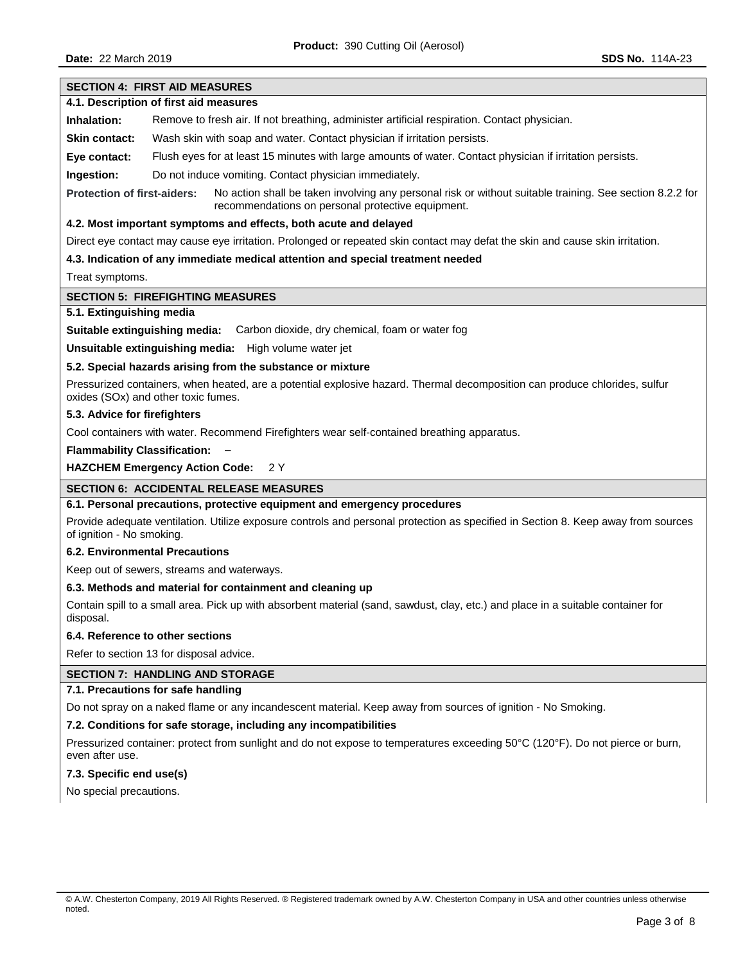# **SECTION 4: FIRST AID MEASURES**

# **4.1. Description of first aid measures**

**Inhalation:** Remove to fresh air. If not breathing, administer artificial respiration. Contact physician.

**Skin contact:** Wash skin with soap and water. Contact physician if irritation persists.

**Eye contact:** Flush eyes for at least 15 minutes with large amounts of water. Contact physician if irritation persists.

**Ingestion:** Do not induce vomiting. Contact physician immediately.

**Protection of first-aiders:** No action shall be taken involving any personal risk or without suitable training. See section 8.2.2 for recommendations on personal protective equipment.

# **4.2. Most important symptoms and effects, both acute and delayed**

Direct eye contact may cause eye irritation. Prolonged or repeated skin contact may defat the skin and cause skin irritation.

# **4.3. Indication of any immediate medical attention and special treatment needed**

Treat symptoms.

### **SECTION 5: FIREFIGHTING MEASURES**

# **5.1. Extinguishing media**

**Suitable extinguishing media:** Carbon dioxide, dry chemical, foam or water fog

**Unsuitable extinguishing media:** High volume water jet

### **5.2. Special hazards arising from the substance or mixture**

Pressurized containers, when heated, are a potential explosive hazard. Thermal decomposition can produce chlorides, sulfur oxides (SOx) and other toxic fumes.

# **5.3. Advice for firefighters**

Cool containers with water. Recommend Firefighters wear self-contained breathing apparatus.

**Flammability Classification:** –

**HAZCHEM Emergency Action Code:** 2 Y

# **SECTION 6: ACCIDENTAL RELEASE MEASURES**

# **6.1. Personal precautions, protective equipment and emergency procedures**

Provide adequate ventilation. Utilize exposure controls and personal protection as specified in Section 8. Keep away from sources of ignition - No smoking.

#### **6.2. Environmental Precautions**

Keep out of sewers, streams and waterways.

### **6.3. Methods and material for containment and cleaning up**

Contain spill to a small area. Pick up with absorbent material (sand, sawdust, clay, etc.) and place in a suitable container for disposal.

#### **6.4. Reference to other sections**

Refer to section 13 for disposal advice.

# **SECTION 7: HANDLING AND STORAGE**

#### **7.1. Precautions for safe handling**

Do not spray on a naked flame or any incandescent material. Keep away from sources of ignition - No Smoking.

### **7.2. Conditions for safe storage, including any incompatibilities**

Pressurized container: protect from sunlight and do not expose to temperatures exceeding 50°C (120°F). Do not pierce or burn, even after use.

# **7.3. Specific end use(s)**

No special precautions.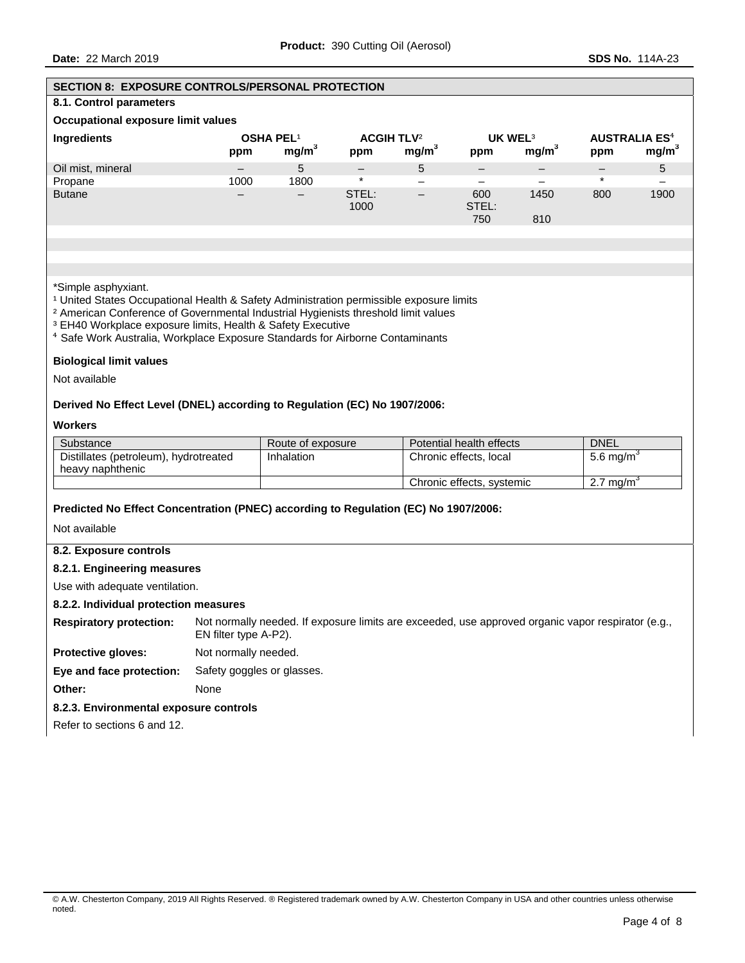| <b>SECTION 8: EXPOSURE CONTROLS/PERSONAL PROTECTION</b>                             |                                                                                                                                                                                                                                                                                                                                                                           |                                       |               |                                                   |                            |                   |                                        |                   |
|-------------------------------------------------------------------------------------|---------------------------------------------------------------------------------------------------------------------------------------------------------------------------------------------------------------------------------------------------------------------------------------------------------------------------------------------------------------------------|---------------------------------------|---------------|---------------------------------------------------|----------------------------|-------------------|----------------------------------------|-------------------|
| 8.1. Control parameters                                                             |                                                                                                                                                                                                                                                                                                                                                                           |                                       |               |                                                   |                            |                   |                                        |                   |
| Occupational exposure limit values                                                  |                                                                                                                                                                                                                                                                                                                                                                           |                                       |               |                                                   |                            |                   |                                        |                   |
| <b>Ingredients</b>                                                                  | ppm                                                                                                                                                                                                                                                                                                                                                                       | <b>OSHA PEL1</b><br>mg/m <sup>3</sup> | ppm           | <b>ACGIH TLV<sup>2</sup></b><br>mg/m <sup>3</sup> | UK WEL <sup>3</sup><br>ppm | mg/m <sup>3</sup> | <b>AUSTRALIA ES<sup>4</sup></b><br>ppm | mg/m <sup>3</sup> |
| Oil mist, mineral                                                                   |                                                                                                                                                                                                                                                                                                                                                                           | 5                                     |               | 5                                                 | —                          |                   | -                                      | $5\phantom{.0}$   |
| Propane                                                                             | 1000                                                                                                                                                                                                                                                                                                                                                                      | 1800                                  | $\star$       |                                                   | $\overline{\phantom{0}}$   |                   | $\star$                                |                   |
| <b>Butane</b>                                                                       |                                                                                                                                                                                                                                                                                                                                                                           | —                                     | STEL:<br>1000 | $\overline{\phantom{0}}$                          | 600<br>STEL:<br>750        | 1450<br>810       | 800                                    | 1900              |
|                                                                                     |                                                                                                                                                                                                                                                                                                                                                                           |                                       |               |                                                   |                            |                   |                                        |                   |
|                                                                                     |                                                                                                                                                                                                                                                                                                                                                                           |                                       |               |                                                   |                            |                   |                                        |                   |
| *Simple asphyxiant.                                                                 | <sup>1</sup> United States Occupational Health & Safety Administration permissible exposure limits<br><sup>2</sup> American Conference of Governmental Industrial Hygienists threshold limit values<br><sup>3</sup> EH40 Workplace exposure limits, Health & Safety Executive<br><sup>4</sup> Safe Work Australia, Workplace Exposure Standards for Airborne Contaminants |                                       |               |                                                   |                            |                   |                                        |                   |
| <b>Biological limit values</b>                                                      |                                                                                                                                                                                                                                                                                                                                                                           |                                       |               |                                                   |                            |                   |                                        |                   |
| Not available                                                                       |                                                                                                                                                                                                                                                                                                                                                                           |                                       |               |                                                   |                            |                   |                                        |                   |
| Derived No Effect Level (DNEL) according to Regulation (EC) No 1907/2006:           |                                                                                                                                                                                                                                                                                                                                                                           |                                       |               |                                                   |                            |                   |                                        |                   |
| <b>Workers</b>                                                                      |                                                                                                                                                                                                                                                                                                                                                                           |                                       |               |                                                   |                            |                   |                                        |                   |
| Substance                                                                           |                                                                                                                                                                                                                                                                                                                                                                           | Route of exposure                     |               |                                                   | Potential health effects   |                   | <b>DNEL</b>                            |                   |
| Distillates (petroleum), hydrotreated<br>heavy naphthenic                           |                                                                                                                                                                                                                                                                                                                                                                           | Inhalation                            |               |                                                   | Chronic effects, local     |                   | 5.6 mg/m <sup>3</sup>                  |                   |
|                                                                                     |                                                                                                                                                                                                                                                                                                                                                                           |                                       |               |                                                   | Chronic effects, systemic  |                   | 2.7 mg/m <sup>3</sup>                  |                   |
| Predicted No Effect Concentration (PNEC) according to Regulation (EC) No 1907/2006: |                                                                                                                                                                                                                                                                                                                                                                           |                                       |               |                                                   |                            |                   |                                        |                   |
| Not available                                                                       |                                                                                                                                                                                                                                                                                                                                                                           |                                       |               |                                                   |                            |                   |                                        |                   |
|                                                                                     |                                                                                                                                                                                                                                                                                                                                                                           |                                       |               |                                                   |                            |                   |                                        |                   |
| 8.2. Exposure controls                                                              |                                                                                                                                                                                                                                                                                                                                                                           |                                       |               |                                                   |                            |                   |                                        |                   |
|                                                                                     | 8.2.1. Engineering measures                                                                                                                                                                                                                                                                                                                                               |                                       |               |                                                   |                            |                   |                                        |                   |
| Use with adequate ventilation.                                                      |                                                                                                                                                                                                                                                                                                                                                                           |                                       |               |                                                   |                            |                   |                                        |                   |
| 8.2.2. Individual protection measures                                               |                                                                                                                                                                                                                                                                                                                                                                           |                                       |               |                                                   |                            |                   |                                        |                   |
|                                                                                     | Respiratory protection: Not normally needed. If exposure limits are exceeded, use approved organic vapor respirator (e.g.,<br>EN filter type A-P2).                                                                                                                                                                                                                       |                                       |               |                                                   |                            |                   |                                        |                   |
| Protective gloves:<br>Not normally needed.                                          |                                                                                                                                                                                                                                                                                                                                                                           |                                       |               |                                                   |                            |                   |                                        |                   |
| Eye and face protection:<br>Safety goggles or glasses.                              |                                                                                                                                                                                                                                                                                                                                                                           |                                       |               |                                                   |                            |                   |                                        |                   |
| Other:<br>None                                                                      |                                                                                                                                                                                                                                                                                                                                                                           |                                       |               |                                                   |                            |                   |                                        |                   |
| 8.2.3. Environmental exposure controls                                              |                                                                                                                                                                                                                                                                                                                                                                           |                                       |               |                                                   |                            |                   |                                        |                   |
| Refer to sections 6 and 12.                                                         |                                                                                                                                                                                                                                                                                                                                                                           |                                       |               |                                                   |                            |                   |                                        |                   |
|                                                                                     |                                                                                                                                                                                                                                                                                                                                                                           |                                       |               |                                                   |                            |                   |                                        |                   |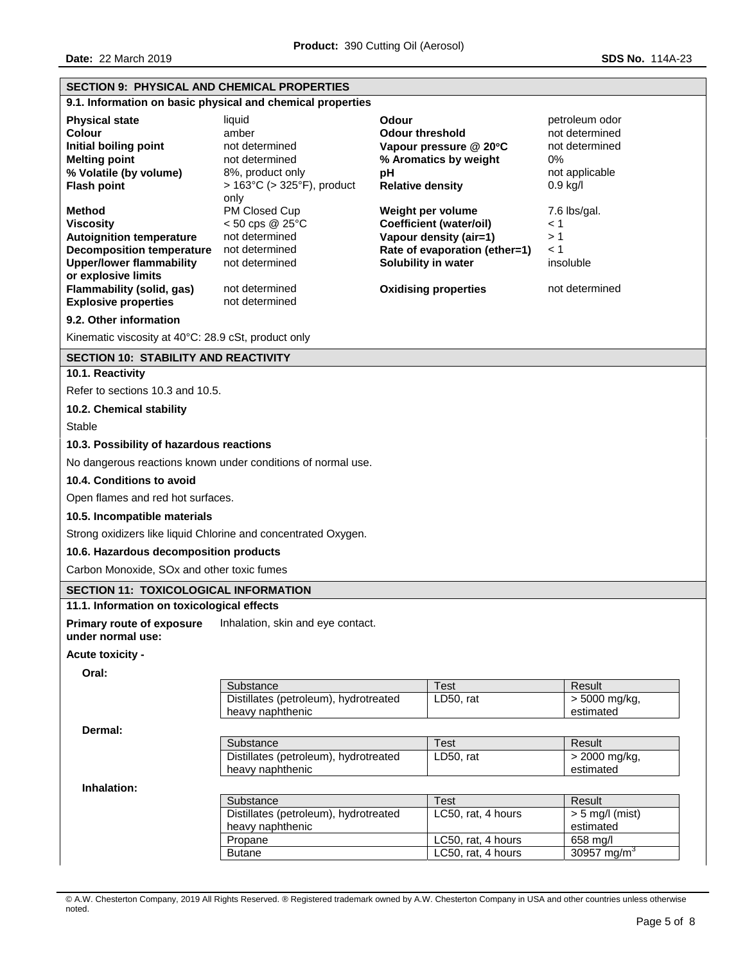| <b>SECTION 9: PHYSICAL AND CHEMICAL PROPERTIES</b>                                                                                                                                                                             |                                                                                                                                    |                                                                                                                                                                      |                                                                                          |  |  |
|--------------------------------------------------------------------------------------------------------------------------------------------------------------------------------------------------------------------------------|------------------------------------------------------------------------------------------------------------------------------------|----------------------------------------------------------------------------------------------------------------------------------------------------------------------|------------------------------------------------------------------------------------------|--|--|
|                                                                                                                                                                                                                                | 9.1. Information on basic physical and chemical properties                                                                         |                                                                                                                                                                      |                                                                                          |  |  |
| <b>Physical state</b><br><b>Colour</b><br>Initial boiling point<br><b>Melting point</b><br>% Volatile (by volume)<br><b>Flash point</b>                                                                                        | liquid<br>amber<br>not determined<br>not determined<br>8%, product only<br>$> 163^{\circ}$ C ( $> 325^{\circ}$ F), product<br>only | <b>Odour</b><br><b>Odour threshold</b><br>Vapour pressure @ 20°C<br>% Aromatics by weight<br>рH<br><b>Relative density</b>                                           | petroleum odor<br>not determined<br>not determined<br>0%<br>not applicable<br>$0.9$ kg/l |  |  |
| <b>Method</b><br><b>Viscosity</b><br><b>Autoignition temperature</b><br><b>Decomposition temperature</b><br><b>Upper/lower flammability</b><br>or explosive limits<br>Flammability (solid, gas)<br><b>Explosive properties</b> | PM Closed Cup<br>$< 50$ cps @ 25°C<br>not determined<br>not determined<br>not determined<br>not determined<br>not determined       | Weight per volume<br><b>Coefficient (water/oil)</b><br>Vapour density (air=1)<br>Rate of evaporation (ether=1)<br>Solubility in water<br><b>Oxidising properties</b> | 7.6 lbs/gal.<br>< 1<br>>1<br>< 1<br>insoluble<br>not determined                          |  |  |
| 9.2. Other information                                                                                                                                                                                                         |                                                                                                                                    |                                                                                                                                                                      |                                                                                          |  |  |
| Kinematic viscosity at 40°C: 28.9 cSt, product only                                                                                                                                                                            |                                                                                                                                    |                                                                                                                                                                      |                                                                                          |  |  |
| <b>SECTION 10: STABILITY AND REACTIVITY</b>                                                                                                                                                                                    |                                                                                                                                    |                                                                                                                                                                      |                                                                                          |  |  |
| 10.1. Reactivity                                                                                                                                                                                                               |                                                                                                                                    |                                                                                                                                                                      |                                                                                          |  |  |
| Refer to sections 10.3 and 10.5.                                                                                                                                                                                               |                                                                                                                                    |                                                                                                                                                                      |                                                                                          |  |  |
| 10.2. Chemical stability                                                                                                                                                                                                       |                                                                                                                                    |                                                                                                                                                                      |                                                                                          |  |  |
| <b>Stable</b>                                                                                                                                                                                                                  |                                                                                                                                    |                                                                                                                                                                      |                                                                                          |  |  |
| 10.3. Possibility of hazardous reactions                                                                                                                                                                                       |                                                                                                                                    |                                                                                                                                                                      |                                                                                          |  |  |
|                                                                                                                                                                                                                                | No dangerous reactions known under conditions of normal use.                                                                       |                                                                                                                                                                      |                                                                                          |  |  |
| 10.4. Conditions to avoid                                                                                                                                                                                                      |                                                                                                                                    |                                                                                                                                                                      |                                                                                          |  |  |
| Open flames and red hot surfaces.                                                                                                                                                                                              |                                                                                                                                    |                                                                                                                                                                      |                                                                                          |  |  |
| 10.5. Incompatible materials                                                                                                                                                                                                   |                                                                                                                                    |                                                                                                                                                                      |                                                                                          |  |  |
|                                                                                                                                                                                                                                | Strong oxidizers like liquid Chlorine and concentrated Oxygen.                                                                     |                                                                                                                                                                      |                                                                                          |  |  |
| 10.6. Hazardous decomposition products                                                                                                                                                                                         |                                                                                                                                    |                                                                                                                                                                      |                                                                                          |  |  |
| Carbon Monoxide, SOx and other toxic fumes                                                                                                                                                                                     |                                                                                                                                    |                                                                                                                                                                      |                                                                                          |  |  |
| <b>SECTION 11: TOXICOLOGICAL INFORMATION</b>                                                                                                                                                                                   |                                                                                                                                    |                                                                                                                                                                      |                                                                                          |  |  |
| 11.1. Information on toxicological effects                                                                                                                                                                                     |                                                                                                                                    |                                                                                                                                                                      |                                                                                          |  |  |
| <b>Primary route of exposure</b><br>under normal use:                                                                                                                                                                          | Inhalation, skin and eye contact.                                                                                                  |                                                                                                                                                                      |                                                                                          |  |  |
| Acute toxicity -                                                                                                                                                                                                               |                                                                                                                                    |                                                                                                                                                                      |                                                                                          |  |  |
| Oral:                                                                                                                                                                                                                          | Substance                                                                                                                          | Test                                                                                                                                                                 | Result                                                                                   |  |  |
|                                                                                                                                                                                                                                | Distillates (petroleum), hydrotreated                                                                                              | LD50, rat                                                                                                                                                            | $> 5000$ mg/kg,                                                                          |  |  |
|                                                                                                                                                                                                                                | heavy naphthenic                                                                                                                   |                                                                                                                                                                      | estimated                                                                                |  |  |
| Dermal:                                                                                                                                                                                                                        |                                                                                                                                    |                                                                                                                                                                      |                                                                                          |  |  |
|                                                                                                                                                                                                                                | Substance<br>Distillates (petroleum), hydrotreated                                                                                 | Test<br>LD50, rat                                                                                                                                                    | Result<br>> 2000 mg/kg,                                                                  |  |  |
|                                                                                                                                                                                                                                | heavy naphthenic                                                                                                                   |                                                                                                                                                                      | estimated                                                                                |  |  |
| Inhalation:                                                                                                                                                                                                                    |                                                                                                                                    |                                                                                                                                                                      |                                                                                          |  |  |
|                                                                                                                                                                                                                                | Substance<br>Test<br>Result                                                                                                        |                                                                                                                                                                      |                                                                                          |  |  |
|                                                                                                                                                                                                                                | LC50, rat, 4 hours<br>Distillates (petroleum), hydrotreated<br>$> 5$ mg/l (mist)<br>heavy naphthenic<br>estimated                  |                                                                                                                                                                      |                                                                                          |  |  |
|                                                                                                                                                                                                                                | LC50, rat, 4 hours<br>658 mg/l<br>Propane                                                                                          |                                                                                                                                                                      |                                                                                          |  |  |
|                                                                                                                                                                                                                                | 30957 mg/m $3$<br>LC50, rat, 4 hours<br><b>Butane</b>                                                                              |                                                                                                                                                                      |                                                                                          |  |  |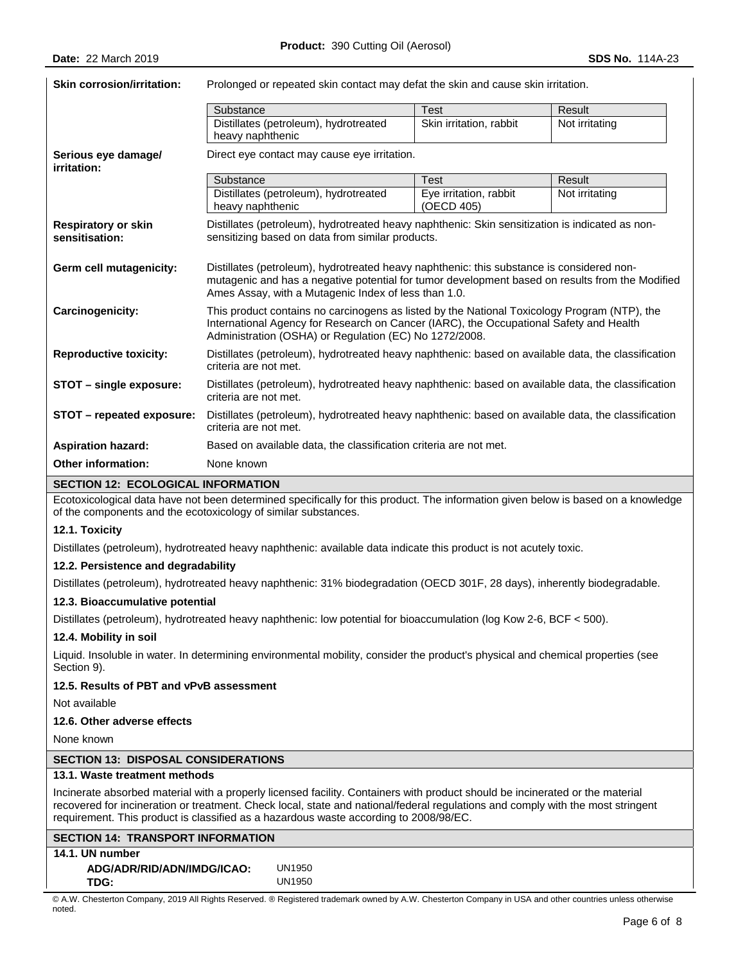| <b>Skin corrosion/irritation:</b>                                            | Prolonged or repeated skin contact may defat the skin and cause skin irritation.                                                                                                                                                                     |                                      |                |  |
|------------------------------------------------------------------------------|------------------------------------------------------------------------------------------------------------------------------------------------------------------------------------------------------------------------------------------------------|--------------------------------------|----------------|--|
|                                                                              | Substance                                                                                                                                                                                                                                            | <b>Test</b>                          | Result         |  |
|                                                                              | Distillates (petroleum), hydrotreated<br>heavy naphthenic                                                                                                                                                                                            | Skin irritation, rabbit              | Not irritating |  |
| Serious eye damage/<br>irritation:                                           | Direct eye contact may cause eye irritation.                                                                                                                                                                                                         |                                      |                |  |
|                                                                              | Substance                                                                                                                                                                                                                                            | <b>Test</b>                          | Result         |  |
|                                                                              | Distillates (petroleum), hydrotreated<br>heavy naphthenic                                                                                                                                                                                            | Eye irritation, rabbit<br>(OECD 405) | Not irritating |  |
| <b>Respiratory or skin</b><br>sensitisation:                                 | Distillates (petroleum), hydrotreated heavy naphthenic: Skin sensitization is indicated as non-<br>sensitizing based on data from similar products.                                                                                                  |                                      |                |  |
| Germ cell mutagenicity:                                                      | Distillates (petroleum), hydrotreated heavy naphthenic: this substance is considered non-<br>mutagenic and has a negative potential for tumor development based on results from the Modified<br>Ames Assay, with a Mutagenic Index of less than 1.0. |                                      |                |  |
| <b>Carcinogenicity:</b>                                                      | This product contains no carcinogens as listed by the National Toxicology Program (NTP), the<br>International Agency for Research on Cancer (IARC), the Occupational Safety and Health<br>Administration (OSHA) or Regulation (EC) No 1272/2008.     |                                      |                |  |
| <b>Reproductive toxicity:</b>                                                | Distillates (petroleum), hydrotreated heavy naphthenic: based on available data, the classification<br>criteria are not met.                                                                                                                         |                                      |                |  |
| STOT - single exposure:                                                      | Distillates (petroleum), hydrotreated heavy naphthenic: based on available data, the classification<br>criteria are not met.                                                                                                                         |                                      |                |  |
| STOT - repeated exposure:                                                    | Distillates (petroleum), hydrotreated heavy naphthenic: based on available data, the classification<br>criteria are not met.                                                                                                                         |                                      |                |  |
| <b>Aspiration hazard:</b>                                                    | Based on available data, the classification criteria are not met.                                                                                                                                                                                    |                                      |                |  |
| <b>Other information:</b><br><b>CEOTION 40. FOOLOGIO &amp;L INFODIALTION</b> | None known                                                                                                                                                                                                                                           |                                      |                |  |

# **SECTION 12: ECOLOGICAL INFORMATION**

Ecotoxicological data have not been determined specifically for this product. The information given below is based on a knowledge of the components and the ecotoxicology of similar substances.

#### **12.1. Toxicity**

Distillates (petroleum), hydrotreated heavy naphthenic: available data indicate this product is not acutely toxic.

#### **12.2. Persistence and degradability**

Distillates (petroleum), hydrotreated heavy naphthenic: 31% biodegradation (OECD 301F, 28 days), inherently biodegradable.

### **12.3. Bioaccumulative potential**

Distillates (petroleum), hydrotreated heavy naphthenic: low potential for bioaccumulation (log Kow 2-6, BCF < 500).

#### **12.4. Mobility in soil**

Liquid. Insoluble in water. In determining environmental mobility, consider the product's physical and chemical properties (see Section 9).

# **12.5. Results of PBT and vPvB assessment**

Not available

# **12.6. Other adverse effects**

None known

# **SECTION 13: DISPOSAL CONSIDERATIONS**

# **13.1. Waste treatment methods**

Incinerate absorbed material with a properly licensed facility. Containers with product should be incinerated or the material recovered for incineration or treatment. Check local, state and national/federal regulations and comply with the most stringent requirement. This product is classified as a hazardous waste according to 2008/98/EC.

### **SECTION 14: TRANSPORT INFORMATION 14.1. UN number**

| .  .                       |        |
|----------------------------|--------|
| ADG/ADR/RID/ADN/IMDG/ICAO: | UN1950 |
| TDG:                       | UN1950 |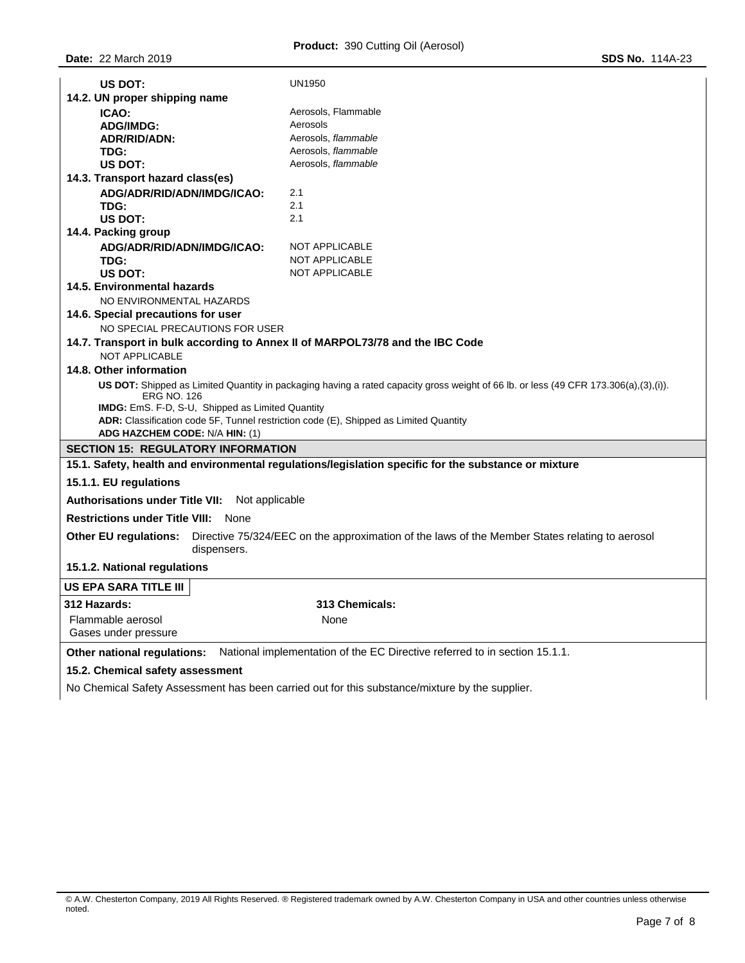| US DOT:                                                                                                     | UN1950                                                                                                                                                                                          |  |  |  |  |  |
|-------------------------------------------------------------------------------------------------------------|-------------------------------------------------------------------------------------------------------------------------------------------------------------------------------------------------|--|--|--|--|--|
| 14.2. UN proper shipping name                                                                               |                                                                                                                                                                                                 |  |  |  |  |  |
| ICAO:                                                                                                       | Aerosols, Flammable                                                                                                                                                                             |  |  |  |  |  |
| <b>ADG/IMDG:</b>                                                                                            | Aerosols                                                                                                                                                                                        |  |  |  |  |  |
| <b>ADR/RID/ADN:</b>                                                                                         | Aerosols, flammable                                                                                                                                                                             |  |  |  |  |  |
| TDG:                                                                                                        | Aerosols, flammable                                                                                                                                                                             |  |  |  |  |  |
| <b>US DOT:</b>                                                                                              | Aerosols, flammable                                                                                                                                                                             |  |  |  |  |  |
| 14.3. Transport hazard class(es)                                                                            |                                                                                                                                                                                                 |  |  |  |  |  |
| ADG/ADR/RID/ADN/IMDG/ICAO:                                                                                  | 2.1                                                                                                                                                                                             |  |  |  |  |  |
| TDG:                                                                                                        | 2.1                                                                                                                                                                                             |  |  |  |  |  |
| US DOT:                                                                                                     | 2.1                                                                                                                                                                                             |  |  |  |  |  |
| 14.4. Packing group                                                                                         |                                                                                                                                                                                                 |  |  |  |  |  |
| ADG/ADR/RID/ADN/IMDG/ICAO:                                                                                  | <b>NOT APPLICABLE</b>                                                                                                                                                                           |  |  |  |  |  |
| TDG:                                                                                                        | NOT APPLICABLE                                                                                                                                                                                  |  |  |  |  |  |
| US DOT:                                                                                                     | <b>NOT APPLICABLE</b>                                                                                                                                                                           |  |  |  |  |  |
| 14.5. Environmental hazards                                                                                 |                                                                                                                                                                                                 |  |  |  |  |  |
| NO ENVIRONMENTAL HAZARDS                                                                                    |                                                                                                                                                                                                 |  |  |  |  |  |
| 14.6. Special precautions for user                                                                          |                                                                                                                                                                                                 |  |  |  |  |  |
| NO SPECIAL PRECAUTIONS FOR USER                                                                             |                                                                                                                                                                                                 |  |  |  |  |  |
| 14.7. Transport in bulk according to Annex II of MARPOL73/78 and the IBC Code<br><b>NOT APPLICABLE</b>      |                                                                                                                                                                                                 |  |  |  |  |  |
| 14.8. Other information                                                                                     |                                                                                                                                                                                                 |  |  |  |  |  |
| <b>ERG NO. 126</b><br>ADR: Classification code 5F, Tunnel restriction code (E), Shipped as Limited Quantity | US DOT: Shipped as Limited Quantity in packaging having a rated capacity gross weight of 66 lb. or less (49 CFR 173.306(a),(3),(i)).<br><b>IMDG:</b> EmS. F-D, S-U, Shipped as Limited Quantity |  |  |  |  |  |
| ADG HAZCHEM CODE: N/A HIN: (1)                                                                              |                                                                                                                                                                                                 |  |  |  |  |  |
| <b>SECTION 15: REGULATORY INFORMATION</b>                                                                   |                                                                                                                                                                                                 |  |  |  |  |  |
|                                                                                                             | 15.1. Safety, health and environmental regulations/legislation specific for the substance or mixture                                                                                            |  |  |  |  |  |
| 15.1.1. EU regulations                                                                                      |                                                                                                                                                                                                 |  |  |  |  |  |
| <b>Authorisations under Title VII:</b><br>Not applicable                                                    |                                                                                                                                                                                                 |  |  |  |  |  |
| <b>Restrictions under Title VIII:</b><br>None                                                               |                                                                                                                                                                                                 |  |  |  |  |  |
| <b>Other EU regulations:</b><br>dispensers.                                                                 | Directive 75/324/EEC on the approximation of the laws of the Member States relating to aerosol                                                                                                  |  |  |  |  |  |
| 15.1.2. National regulations                                                                                |                                                                                                                                                                                                 |  |  |  |  |  |
| <b>US EPA SARA TITLE III</b>                                                                                |                                                                                                                                                                                                 |  |  |  |  |  |
| 312 Hazards:                                                                                                | 313 Chemicals:                                                                                                                                                                                  |  |  |  |  |  |
| Flammable aerosol                                                                                           | None                                                                                                                                                                                            |  |  |  |  |  |
| Gases under pressure                                                                                        |                                                                                                                                                                                                 |  |  |  |  |  |
| Other national regulations:                                                                                 | National implementation of the EC Directive referred to in section 15.1.1.                                                                                                                      |  |  |  |  |  |
| 15.2. Chemical safety assessment                                                                            |                                                                                                                                                                                                 |  |  |  |  |  |

No Chemical Safety Assessment has been carried out for this substance/mixture by the supplier.